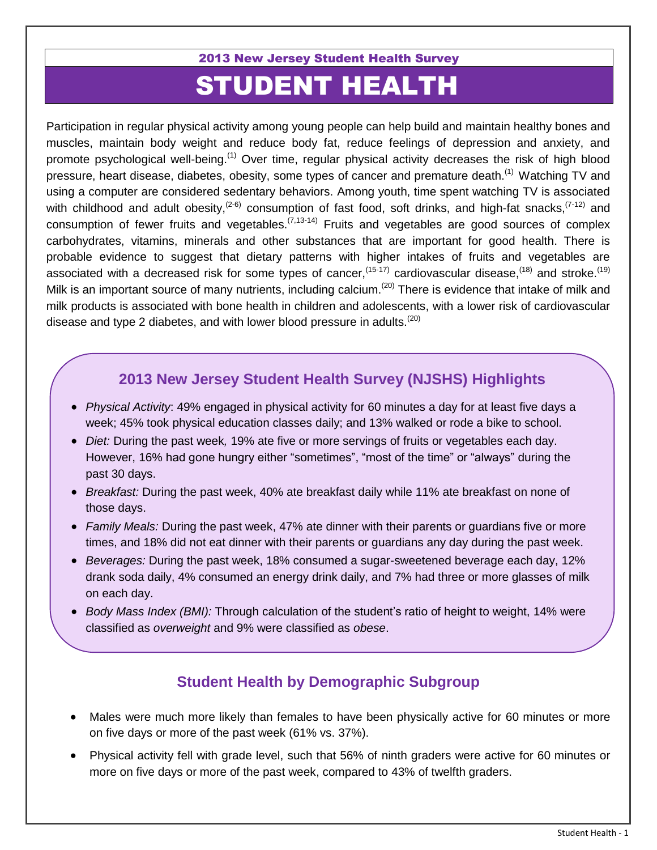2013 New Jersey Student Health Survey

# STUDENT HEALTH

Participation in regular physical activity among young people can help build and maintain healthy bones and muscles, maintain body weight and reduce body fat, reduce feelings of depression and anxiety, and promote psychological well-being.<sup>(1)</sup> Over time, regular physical activity decreases the risk of high blood pressure, heart disease, diabetes, obesity, some types of cancer and premature death.<sup>(1)</sup> Watching TV and using a computer are considered sedentary behaviors. Among youth, time spent watching TV is associated with childhood and adult obesity,<sup>(2-6)</sup> consumption of fast food, soft drinks, and high-fat snacks,<sup>(7-12)</sup> and consumption of fewer fruits and vegetables.<sup> $(7,13-14)$ </sup> Fruits and vegetables are good sources of complex carbohydrates, vitamins, minerals and other substances that are important for good health. There is probable evidence to suggest that dietary patterns with higher intakes of fruits and vegetables are associated with a decreased risk for some types of cancer,<sup>(15-17)</sup> cardiovascular disease,<sup>(18)</sup> and stroke.<sup>(19)</sup> Milk is an important source of many nutrients, including calcium.<sup>(20)</sup> There is evidence that intake of milk and milk products is associated with bone health in children and adolescents, with a lower risk of cardiovascular disease and type 2 diabetes, and with lower blood pressure in adults.<sup> $(20)$ </sup>

# **2013 New Jersey Student Health Survey (NJSHS) Highlights**

- *Physical Activity*: 49% engaged in physical activity for 60 minutes a day for at least five days a week; 45% took physical education classes daily; and 13% walked or rode a bike to school.
- *Diet:* During the past week*,* 19% ate five or more servings of fruits or vegetables each day. However, 16% had gone hungry either "sometimes", "most of the time" or "always" during the past 30 days.
- *Breakfast:* During the past week, 40% ate breakfast daily while 11% ate breakfast on none of those days.
- *Family Meals:* During the past week, 47% ate dinner with their parents or guardians five or more times, and 18% did not eat dinner with their parents or guardians any day during the past week.
- *Beverages:* During the past week, 18% consumed a sugar-sweetened beverage each day, 12% drank soda daily, 4% consumed an energy drink daily, and 7% had three or more glasses of milk on each day.
- *Body Mass Index (BMI):* Through calculation of the student's ratio of height to weight, 14% were classified as *overweight* and 9% were classified as *obese*.

## **Student Health by Demographic Subgroup**

- Males were much more likely than females to have been physically active for 60 minutes or more on five days or more of the past week (61% vs. 37%).
- Physical activity fell with grade level, such that 56% of ninth graders were active for 60 minutes or more on five days or more of the past week, compared to 43% of twelfth graders.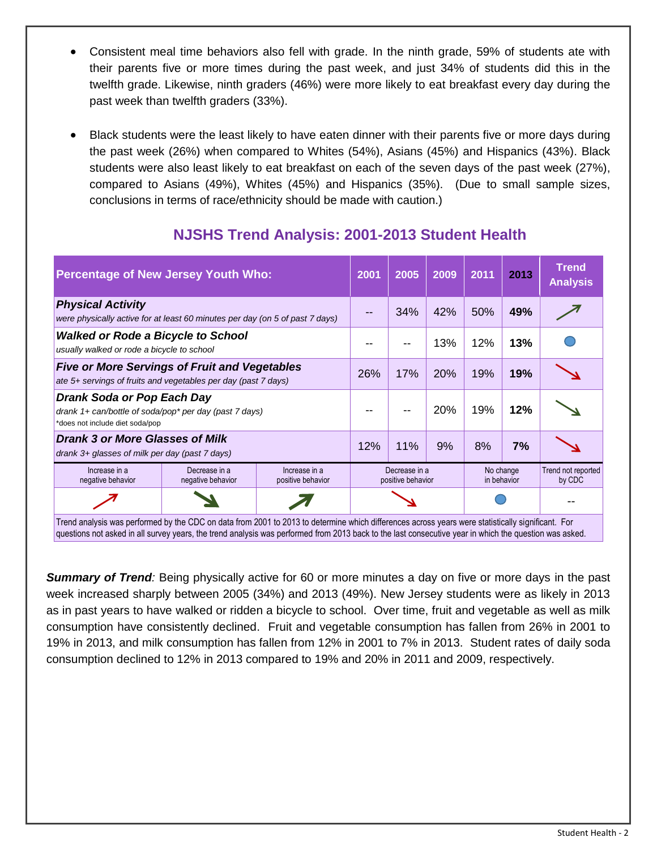- Consistent meal time behaviors also fell with grade. In the ninth grade, 59% of students ate with their parents five or more times during the past week, and just 34% of students did this in the twelfth grade. Likewise, ninth graders (46%) were more likely to eat breakfast every day during the past week than twelfth graders (33%).
- Black students were the least likely to have eaten dinner with their parents five or more days during the past week (26%) when compared to Whites (54%), Asians (45%) and Hispanics (43%). Black students were also least likely to eat breakfast on each of the seven days of the past week (27%), compared to Asians (49%), Whites (45%) and Hispanics (35%). (Due to small sample sizes, conclusions in terms of race/ethnicity should be made with caution.)

| <b>Percentage of New Jersey Youth Who:</b>                                                                                                                                                                                                                                                                  |                                    |                                    | 2001 | 2005                                                           | 2009 | 2011 | 2013                         | <b>Trend</b><br><b>Analysis</b> |
|-------------------------------------------------------------------------------------------------------------------------------------------------------------------------------------------------------------------------------------------------------------------------------------------------------------|------------------------------------|------------------------------------|------|----------------------------------------------------------------|------|------|------------------------------|---------------------------------|
| <b>Physical Activity</b><br>were physically active for at least 60 minutes per day (on 5 of past 7 days)                                                                                                                                                                                                    |                                    |                                    |      | 34%                                                            | 42%  | 50%  | 49%                          |                                 |
| <b>Walked or Rode a Bicycle to School</b><br>usually walked or rode a bicycle to school                                                                                                                                                                                                                     |                                    |                                    |      |                                                                | 13%  | 12%  | 13%                          |                                 |
| <b>Five or More Servings of Fruit and Vegetables</b><br>ate 5+ servings of fruits and vegetables per day (past 7 days)                                                                                                                                                                                      |                                    |                                    | 26%  | 17%                                                            | 20%  | 19%  | 19%                          |                                 |
| Drank Soda or Pop Each Day<br>drank 1+ can/bottle of soda/pop* per day (past 7 days)<br>*does not include diet soda/pop                                                                                                                                                                                     |                                    |                                    |      |                                                                | 20%  | 19%  | 12%                          |                                 |
| <b>Drank 3 or More Glasses of Milk</b><br>drank 3+ glasses of milk per day (past 7 days)                                                                                                                                                                                                                    |                                    |                                    | 12%  | 11%                                                            | 9%   | 8%   | 7%                           |                                 |
| Increase in a<br>negative behavior                                                                                                                                                                                                                                                                          | Decrease in a<br>negative behavior | Increase in a<br>positive behavior |      | No change<br>Decrease in a<br>in behavior<br>positive behavior |      |      | Trend not reported<br>by CDC |                                 |
|                                                                                                                                                                                                                                                                                                             |                                    |                                    |      |                                                                |      |      |                              |                                 |
| Trend analysis was performed by the CDC on data from 2001 to 2013 to determine which differences across years were statistically significant. For<br>questions not asked in all survey years, the trend analysis was performed from 2013 back to the last consecutive year in which the question was asked. |                                    |                                    |      |                                                                |      |      |                              |                                 |

# **NJSHS Trend Analysis: 2001-2013 Student Health**

*Summary of Trend:* Being physically active for 60 or more minutes a day on five or more days in the past week increased sharply between 2005 (34%) and 2013 (49%). New Jersey students were as likely in 2013 as in past years to have walked or ridden a bicycle to school. Over time, fruit and vegetable as well as milk consumption have consistently declined. Fruit and vegetable consumption has fallen from 26% in 2001 to 19% in 2013, and milk consumption has fallen from 12% in 2001 to 7% in 2013. Student rates of daily soda consumption declined to 12% in 2013 compared to 19% and 20% in 2011 and 2009, respectively.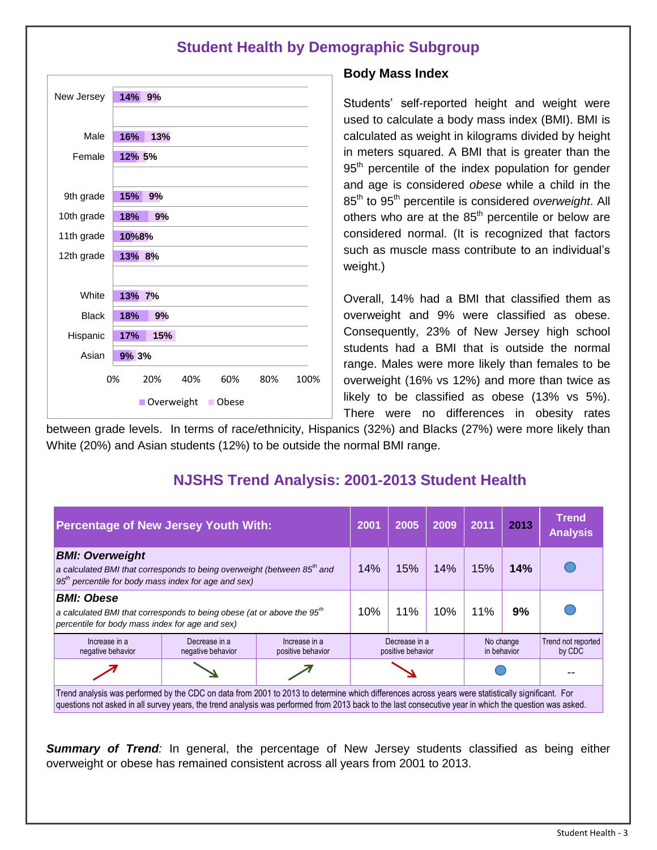## **Student Health by Demographic Subgroup**

| New Jersey               | 14% 9%                                 |  |  |  |  |  |  |  |
|--------------------------|----------------------------------------|--|--|--|--|--|--|--|
|                          |                                        |  |  |  |  |  |  |  |
| Male                     | 16%<br>13%                             |  |  |  |  |  |  |  |
| Female                   | 12% 5%                                 |  |  |  |  |  |  |  |
|                          |                                        |  |  |  |  |  |  |  |
| 9th grade                | 15%<br>9%                              |  |  |  |  |  |  |  |
| 10th grade               | 18%<br>9%                              |  |  |  |  |  |  |  |
| 11th grade               | 10%8%                                  |  |  |  |  |  |  |  |
| 12th grade               | 13% 8%                                 |  |  |  |  |  |  |  |
|                          |                                        |  |  |  |  |  |  |  |
| White                    | 13% 7%                                 |  |  |  |  |  |  |  |
| <b>Black</b>             | 9%<br>18%                              |  |  |  |  |  |  |  |
| Hispanic                 | 15%<br>17%                             |  |  |  |  |  |  |  |
| Asian                    | 9% 3%                                  |  |  |  |  |  |  |  |
|                          | 0%<br>20%<br>40%<br>60%<br>80%<br>100% |  |  |  |  |  |  |  |
| Overweight<br>Obese<br>П |                                        |  |  |  |  |  |  |  |

#### **Body Mass Index**

Students' self-reported height and weight were used to calculate a body mass index (BMI). BMI is calculated as weight in kilograms divided by height in meters squared. A BMI that is greater than the 95<sup>th</sup> percentile of the index population for gender and age is considered *obese* while a child in the 85th to 95th percentile is considered *overweight*. All others who are at the  $85<sup>th</sup>$  percentile or below are considered normal. (It is recognized that factors such as muscle mass contribute to an individual's weight.)

Overall, 14% had a BMI that classified them as overweight and 9% were classified as obese. Consequently, 23% of New Jersey high school students had a BMI that is outside the normal range. Males were more likely than females to be overweight (16% vs 12%) and more than twice as likely to be classified as obese (13% vs 5%). There were no differences in obesity rates

between grade levels. In terms of race/ethnicity, Hispanics (32%) and Blacks (27%) were more likely than White (20%) and Asian students (12%) to be outside the normal BMI range.

## **NJSHS Trend Analysis: 2001-2013 Student Health**

| <b>Percentage of New Jersey Youth With:</b>                                                                                                                                                                                                                                                                 |                                    |                                    | 2001                               | 2005 | 2009      | 2011        | 2013                         | <b>Trend</b><br><b>Analysis</b> |
|-------------------------------------------------------------------------------------------------------------------------------------------------------------------------------------------------------------------------------------------------------------------------------------------------------------|------------------------------------|------------------------------------|------------------------------------|------|-----------|-------------|------------------------------|---------------------------------|
| <b>BMI: Overweight</b><br>a calculated BMI that corresponds to being overweight (between 85 <sup>th</sup> and<br>$95th$ percentile for body mass index for age and sex)                                                                                                                                     |                                    |                                    |                                    | 15%  | 14%       | 15%         | 14%                          |                                 |
| <b>BMI: Obese</b><br>a calculated BMI that corresponds to being obese (at or above the 95 <sup>th</sup><br>percentile for body mass index for age and sex)                                                                                                                                                  |                                    |                                    | 10%                                | 11%  | 10%       | 11%         | 9%                           |                                 |
| Increase in a<br>negative behavior                                                                                                                                                                                                                                                                          | Decrease in a<br>negative behavior | Increase in a<br>positive behavior | Decrease in a<br>positive behavior |      | No change | in behavior | Trend not reported<br>by CDC |                                 |
|                                                                                                                                                                                                                                                                                                             |                                    |                                    |                                    |      |           |             |                              |                                 |
| Trend analysis was performed by the CDC on data from 2001 to 2013 to determine which differences across years were statistically significant. For<br>questions not asked in all survey years, the trend analysis was performed from 2013 back to the last consecutive year in which the question was asked. |                                    |                                    |                                    |      |           |             |                              |                                 |

*Summary of Trend:* In general, the percentage of New Jersey students classified as being either overweight or obese has remained consistent across all years from 2001 to 2013.